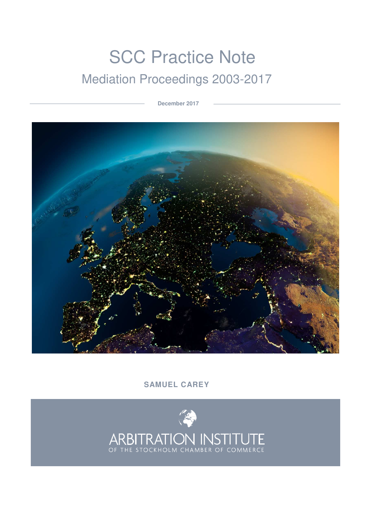# **SCC Practice Note** Mediation Proceedings 2003-2017

 **December 2017**



# **SAMUEL CAREY**

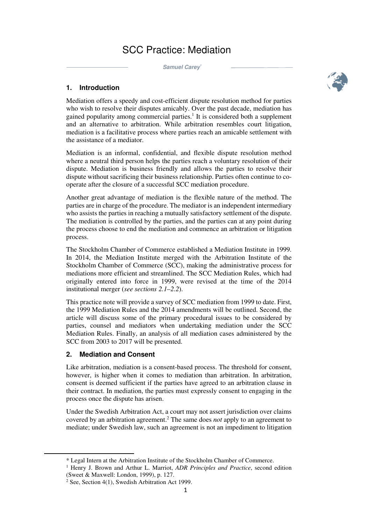# SCC Practice: Mediation

 **Samuel Carey\***



# **1. Introduction**

Mediation offers a speedy and cost-efficient dispute resolution method for parties who wish to resolve their disputes amicably. Over the past decade, mediation has gained popularity among commercial parties.<sup>1</sup> It is considered both a supplement and an alternative to arbitration. While arbitration resembles court litigation, mediation is a facilitative process where parties reach an amicable settlement with the assistance of a mediator.

Mediation is an informal, confidential, and flexible dispute resolution method where a neutral third person helps the parties reach a voluntary resolution of their dispute. Mediation is business friendly and allows the parties to resolve their dispute without sacrificing their business relationship. Parties often continue to cooperate after the closure of a successful SCC mediation procedure.

Another great advantage of mediation is the flexible nature of the method. The parties are in charge of the procedure. The mediator is an independent intermediary who assists the parties in reaching a mutually satisfactory settlement of the dispute. The mediation is controlled by the parties, and the parties can at any point during the process choose to end the mediation and commence an arbitration or litigation process.

The Stockholm Chamber of Commerce established a Mediation Institute in 1999. In 2014, the Mediation Institute merged with the Arbitration Institute of the Stockholm Chamber of Commerce (SCC), making the administrative process for mediations more efficient and streamlined. The SCC Mediation Rules, which had originally entered into force in 1999, were revised at the time of the 2014 institutional merger (*see sections 2.1–2.2*).

This practice note will provide a survey of SCC mediation from 1999 to date. First, the 1999 Mediation Rules and the 2014 amendments will be outlined. Second, the article will discuss some of the primary procedural issues to be considered by parties, counsel and mediators when undertaking mediation under the SCC Mediation Rules. Finally, an analysis of all mediation cases administered by the SCC from 2003 to 2017 will be presented.

# **2. Mediation and Consent**

l

Like arbitration, mediation is a consent-based process. The threshold for consent, however, is higher when it comes to mediation than arbitration. In arbitration, consent is deemed sufficient if the parties have agreed to an arbitration clause in their contract. In mediation, the parties must expressly consent to engaging in the process once the dispute has arisen.

Under the Swedish Arbitration Act, a court may not assert jurisdiction over claims covered by an arbitration agreement.<sup>2</sup> The same does *not* apply to an agreement to mediate; under Swedish law, such an agreement is not an impediment to litigation

<sup>\*</sup> Legal Intern at the Arbitration Institute of the Stockholm Chamber of Commerce.

<sup>&</sup>lt;sup>1</sup> Henry J. Brown and Arthur L. Marriot, ADR Principles and Practice, second edition (Sweet & Maxwell: London, 1999), p. 127.

<sup>2</sup> See, Section 4(1), Swedish Arbitration Act 1999.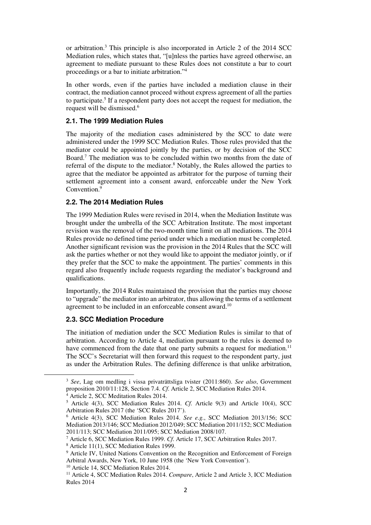or arbitration.<sup>3</sup> This principle is also incorporated in Article 2 of the 2014 SCC Mediation rules, which states that, "[u]nless the parties have agreed otherwise, an agreement to mediate pursuant to these Rules does not constitute a bar to court proceedings or a bar to initiate arbitration."<sup>4</sup>

In other words, even if the parties have included a mediation clause in their contract, the mediation cannot proceed without express agreement of all the parties to participate.<sup>5</sup> If a respondent party does not accept the request for mediation, the request will be dismissed.<sup>6</sup>

### **2.1. The 1999 Mediation Rules**

The majority of the mediation cases administered by the SCC to date were administered under the 1999 SCC Mediation Rules. Those rules provided that the mediator could be appointed jointly by the parties, or by decision of the SCC Board.<sup>7</sup> The mediation was to be concluded within two months from the date of referral of the dispute to the mediator.<sup>8</sup> Notably, the Rules allowed the parties to agree that the mediator be appointed as arbitrator for the purpose of turning their settlement agreement into a consent award, enforceable under the New York Convention.<sup>9</sup>

# **2.2. The 2014 Mediation Rules**

The 1999 Mediation Rules were revised in 2014, when the Mediation Institute was brought under the umbrella of the SCC Arbitration Institute. The most important revision was the removal of the two-month time limit on all mediations. The 2014 Rules provide no defined time period under which a mediation must be completed. Another significant revision was the provision in the 2014 Rules that the SCC will ask the parties whether or not they would like to appoint the mediator jointly, or if they prefer that the SCC to make the appointment. The parties' comments in this regard also frequently include requests regarding the mediator's background and qualifications.

Importantly, the 2014 Rules maintained the provision that the parties may choose to "upgrade" the mediator into an arbitrator, thus allowing the terms of a settlement agreement to be included in an enforceable consent award.<sup>10</sup>

#### **2.3. SCC Mediation Procedure**

The initiation of mediation under the SCC Mediation Rules is similar to that of arbitration. According to Article 4, mediation pursuant to the rules is deemed to have commenced from the date that one party submits a request for mediation.<sup>11</sup> The SCC's Secretariat will then forward this request to the respondent party, just as under the Arbitration Rules. The defining difference is that unlike arbitration,

<sup>3</sup> *See*, Lag om medling i vissa privaträttsliga tvister (2011:860). *See also*, Government proposition 2010/11:128, Section 7.4. *Cf*. Article 2, SCC Mediation Rules 2014.

<sup>4</sup> Article 2, SCC Meditation Rules 2014.

<sup>5</sup> Article 4(3), SCC Mediation Rules 2014. *Cf*. Article 9(3) and Article 10(4), SCC Arbitration Rules 2017 (the 'SCC Rules 2017').

<sup>6</sup> Article 4(3), SCC Mediation Rules 2014. *See e.g.*, SCC Mediation 2013/156; SCC Mediation 2013/146; SCC Mediation 2012/049; SCC Mediation 2011/152; SCC Mediation 2011/113; SCC Mediation 2011/095; SCC Mediation 2008/107.

<sup>7</sup> Article 6, SCC Mediation Rules 1999. *Cf*. Article 17, SCC Arbitration Rules 2017.

<sup>8</sup> Article 11(1), SCC Mediation Rules 1999.

<sup>&</sup>lt;sup>9</sup> Article IV, United Nations Convention on the Recognition and Enforcement of Foreign Arbitral Awards, New York, 10 June 1958 (the 'New York Convention').

<sup>&</sup>lt;sup>10</sup> Article 14, SCC Mediation Rules 2014.

<sup>11</sup> Article 4, SCC Mediation Rules 2014. *Compare*, Article 2 and Article 3, ICC Mediation Rules 2014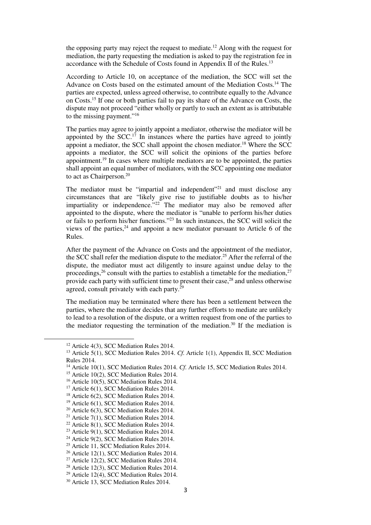the opposing party may reject the request to mediate.<sup>12</sup> Along with the request for mediation, the party requesting the mediation is asked to pay the registration fee in accordance with the Schedule of Costs found in Appendix II of the Rules.<sup>13</sup>

According to Article 10, on acceptance of the mediation, the SCC will set the Advance on Costs based on the estimated amount of the Mediation Costs.<sup>14</sup> The parties are expected, unless agreed otherwise, to contribute equally to the Advance on Costs.<sup>15</sup> If one or both parties fail to pay its share of the Advance on Costs, the dispute may not proceed "either wholly or partly to such an extent as is attributable to the missing payment."<sup>16</sup>

The parties may agree to jointly appoint a mediator, otherwise the mediator will be appointed by the  $SCC<sup>17</sup>$  In instances where the parties have agreed to jointly appoint a mediator, the SCC shall appoint the chosen mediator.<sup>18</sup> Where the SCC appoints a mediator, the SCC will solicit the opinions of the parties before appointment.<sup>19</sup> In cases where multiple mediators are to be appointed, the parties shall appoint an equal number of mediators, with the SCC appointing one mediator to act as Chairperson.<sup>20</sup>

The mediator must be "impartial and independent"<sup>21</sup> and must disclose any circumstances that are "likely give rise to justifiable doubts as to his/her impartiality or independence.<sup>"22</sup> The mediator may also be removed after appointed to the dispute, where the mediator is "unable to perform his/her duties or fails to perform his/her functions."<sup>23</sup> In such instances, the SCC will solicit the views of the parties,  $24$  and appoint a new mediator pursuant to Article 6 of the Rules.

After the payment of the Advance on Costs and the appointment of the mediator, the SCC shall refer the mediation dispute to the mediator.<sup>25</sup> After the referral of the dispute, the mediator must act diligently to insure against undue delay to the proceedings,<sup>26</sup> consult with the parties to establish a timetable for the mediation,<sup>27</sup> provide each party with sufficient time to present their case,<sup>28</sup> and unless otherwise agreed, consult privately with each party.<sup>29</sup>

The mediation may be terminated where there has been a settlement between the parties, where the mediator decides that any further efforts to mediate are unlikely to lead to a resolution of the dispute, or a written request from one of the parties to the mediator requesting the termination of the mediation.<sup>30</sup> If the mediation is

<sup>&</sup>lt;sup>12</sup> Article 4(3), SCC Mediation Rules 2014.

<sup>&</sup>lt;sup>13</sup> Article 5(1), SCC Mediation Rules 2014. *Cf.* Article 1(1), Appendix II, SCC Mediation Rules 2014.

<sup>&</sup>lt;sup>14</sup> Article 10(1), SCC Mediation Rules 2014. *Cf.* Article 15, SCC Mediation Rules 2014.

<sup>&</sup>lt;sup>15</sup> Article 10(2), SCC Mediation Rules 2014.

<sup>&</sup>lt;sup>16</sup> Article 10(5), SCC Mediation Rules 2014.

<sup>&</sup>lt;sup>17</sup> Article 6(1), SCC Mediation Rules 2014.

<sup>18</sup> Article 6(2), SCC Mediation Rules 2014.

<sup>&</sup>lt;sup>19</sup> Article 6(1), SCC Mediation Rules 2014.

<sup>20</sup> Article 6(3), SCC Mediation Rules 2014.

<sup>&</sup>lt;sup>21</sup> Article 7(1), SCC Mediation Rules 2014.

<sup>22</sup> Article 8(1), SCC Mediation Rules 2014.

<sup>&</sup>lt;sup>23</sup> Article 9(1), SCC Mediation Rules 2014.

<sup>&</sup>lt;sup>24</sup> Article 9(2), SCC Mediation Rules 2014.

<sup>&</sup>lt;sup>25</sup> Article 11, SCC Mediation Rules 2014.

<sup>&</sup>lt;sup>26</sup> Article 12(1), SCC Mediation Rules 2014.

<sup>&</sup>lt;sup>27</sup> Article 12(2), SCC Mediation Rules 2014.

<sup>28</sup> Article 12(3), SCC Mediation Rules 2014.

<sup>&</sup>lt;sup>29</sup> Article 12(4), SCC Mediation Rules 2014.

<sup>30</sup> Article 13, SCC Mediation Rules 2014.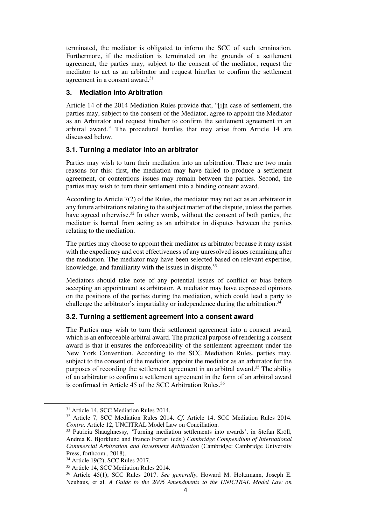terminated, the mediator is obligated to inform the SCC of such termination. Furthermore, if the mediation is terminated on the grounds of a settlement agreement, the parties may, subject to the consent of the mediator, request the mediator to act as an arbitrator and request him/her to confirm the settlement agreement in a consent award.<sup>31</sup>

# **3. Mediation into Arbitration**

Article 14 of the 2014 Mediation Rules provide that, "[i]n case of settlement, the parties may, subject to the consent of the Mediator, agree to appoint the Mediator as an Arbitrator and request him/her to confirm the settlement agreement in an arbitral award." The procedural hurdles that may arise from Article 14 are discussed below.

# **3.1. Turning a mediator into an arbitrator**

Parties may wish to turn their mediation into an arbitration. There are two main reasons for this: first, the mediation may have failed to produce a settlement agreement, or contentious issues may remain between the parties. Second, the parties may wish to turn their settlement into a binding consent award.

According to Article 7(2) of the Rules, the mediator may not act as an arbitrator in any future arbitrations relating to the subject matter of the dispute, unless the parties have agreed otherwise.<sup>32</sup> In other words, without the consent of both parties, the mediator is barred from acting as an arbitrator in disputes between the parties relating to the mediation.

The parties may choose to appoint their mediator as arbitrator because it may assist with the expediency and cost effectiveness of any unresolved issues remaining after the mediation. The mediator may have been selected based on relevant expertise, knowledge, and familiarity with the issues in dispute.<sup>33</sup>

Mediators should take note of any potential issues of conflict or bias before accepting an appointment as arbitrator. A mediator may have expressed opinions on the positions of the parties during the mediation, which could lead a party to challenge the arbitrator's impartiality or independence during the arbitration.<sup>34</sup>

# **3.2. Turning a settlement agreement into a consent award**

The Parties may wish to turn their settlement agreement into a consent award, which is an enforceable arbitral award. The practical purpose of rendering a consent award is that it ensures the enforceability of the settlement agreement under the New York Convention. According to the SCC Mediation Rules, parties may, subject to the consent of the mediator, appoint the mediator as an arbitrator for the purposes of recording the settlement agreement in an arbitral award.<sup>35</sup> The ability of an arbitrator to confirm a settlement agreement in the form of an arbitral award is confirmed in Article 45 of the SCC Arbitration Rules.<sup>36</sup>

<sup>&</sup>lt;sup>31</sup> Article 14, SCC Mediation Rules 2014.

<sup>32</sup> Article 7, SCC Mediation Rules 2014. *Cf*. Article 14, SCC Mediation Rules 2014. *Contra*. Article 12, UNCITRAL Model Law on Conciliation.

<sup>&</sup>lt;sup>33</sup> Patricia Shaughnessy, 'Turning mediation settlements into awards', in Stefan Kröll, Andrea K. Bjorklund and Franco Ferrari (eds.) *Cambridge Compendium of International Commercial Arbitration and Investment Arbitration* (Cambridge: Cambridge University Press, forthcom., 2018).

<sup>34</sup> Article 19(2), SCC Rules 2017.

<sup>&</sup>lt;sup>35</sup> Article 14, SCC Mediation Rules 2014.

<sup>36</sup> Article 45(1), SCC Rules 2017. *See generally*, Howard M. Holtzmann, Joseph E. Neuhaus, et al. *A Guide to the 2006 Amendments to the UNICTRAL Model Law on*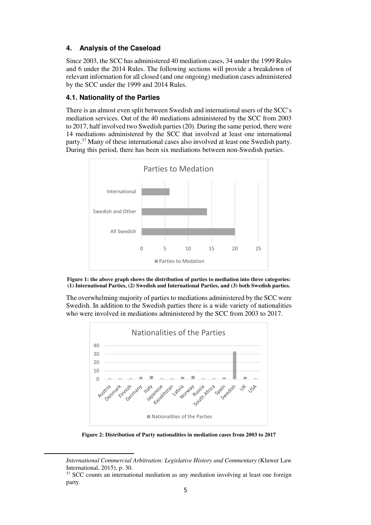# **4. Analysis of the Caseload**

Since 2003, the SCC has administered 40 mediation cases, 34 under the 1999 Rules and 6 under the 2014 Rules. The following sections will provide a breakdown of relevant information for all closed (and one ongoing) mediation cases administered by the SCC under the 1999 and 2014 Rules.

# **4.1. Nationality of the Parties**

There is an almost even split between Swedish and international users of the SCC's mediation services. Out of the 40 mediations administered by the SCC from 2003 to 2017, half involved two Swedish parties (20). During the same period, there were 14 mediations administered by the SCC that involved at least one international party.<sup>37</sup> Many of these international cases also involved at least one Swedish party. During this period, there has been six mediations between non-Swedish parties.





The overwhelming majority of parties to mediations administered by the SCC were Swedish. In addition to the Swedish parties there is a wide variety of nationalities who were involved in mediations administered by the SCC from 2003 to 2017.



**Figure 2: Distribution of Party nationalities in mediation cases from 2003 to 2017** 

*International Commercial Arbitration: Legislative History and Commentary* (Kluwer Law International, 2015), p. 30.

 $37$  SCC counts an international mediation as any mediation involving at least one foreign party.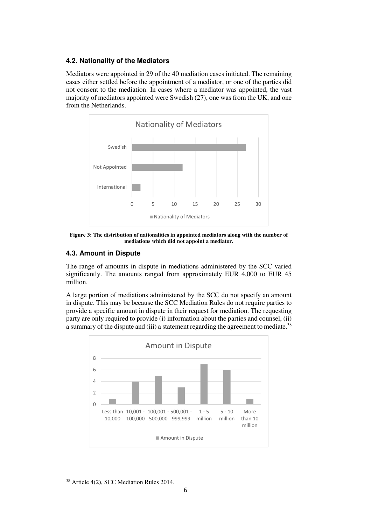# **4.2. Nationality of the Mediators**

Mediators were appointed in 29 of the 40 mediation cases initiated. The remaining cases either settled before the appointment of a mediator, or one of the parties did not consent to the mediation. In cases where a mediator was appointed, the vast majority of mediators appointed were Swedish (27), one was from the UK, and one from the Netherlands.



**Figure 3: The distribution of nationalities in appointed mediators along with the number of mediations which did not appoint a mediator.** 

# **4.3. Amount in Dispute**

The range of amounts in dispute in mediations administered by the SCC varied significantly. The amounts ranged from approximately EUR 4,000 to EUR 45 million.

A large portion of mediations administered by the SCC do not specify an amount in dispute. This may be because the SCC Mediation Rules do not require parties to provide a specific amount in dispute in their request for mediation. The requesting party are only required to provide (i) information about the parties and counsel, (ii) a summary of the dispute and (iii) a statement regarding the agreement to mediate.<sup>38</sup>



<sup>38</sup> Article 4(2), SCC Mediation Rules 2014.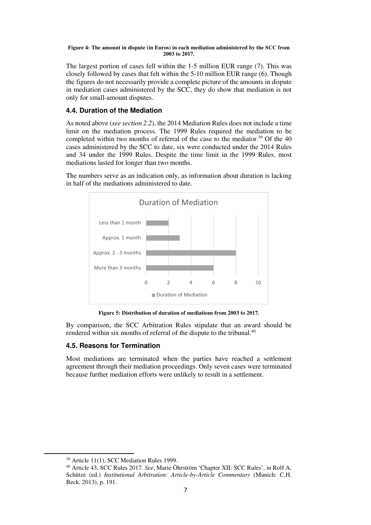#### **Figure 4: The amount in dispute (in Euros) in each mediation administered by the SCC from 2003 to 2017.**

The largest portion of cases fell within the 1-5 million EUR range (7). This was closely followed by cases that felt within the 5-10 million EUR range (6). Though the figures do not necessarily provide a complete picture of the amounts in dispute in mediation cases administered by the SCC, they do show that mediation is not only for small-amount disputes.

# **4.4. Duration of the Mediation**

As noted above (*see section 2.2*), the 2014 Mediation Rules does not include a time limit on the mediation process. The 1999 Rules required the mediation to be completed within two months of referral of the case to the mediator.<sup>39</sup> Of the 40 cases administered by the SCC to date, six were conducted under the 2014 Rules and 34 under the 1999 Rules. Despite the time limit in the 1999 Rules, most mediations lasted for longer than two months.

The numbers serve as an indication only, as information about duration is lacking in half of the mediations administered to date.



**Figure 5: Distribution of duration of mediations from 2003 to 2017.** 

By comparison, the SCC Arbitration Rules stipulate that an award should be rendered within six months of referral of the dispute to the tribunal.<sup>40</sup>

# **4.5. Reasons for Termination**

Most mediations are terminated when the parties have reached a settlement agreement through their mediation proceedings. Only seven cases were terminated because further mediation efforts were unlikely to result in a settlement.

 $\overline{\phantom{a}}$ 

<sup>39</sup> Article 11(1), SCC Mediation Rules 1999.

<sup>40</sup> Article 43, SCC Rules 2017. *See*, Marie Öhrström 'Chapter XII: SCC Rules', in Rolf A. Schütze (ed.) *Institutional Arbitration: Article-by-Article Commentary* (Munich: C.H. Beck. 2013), p. 191.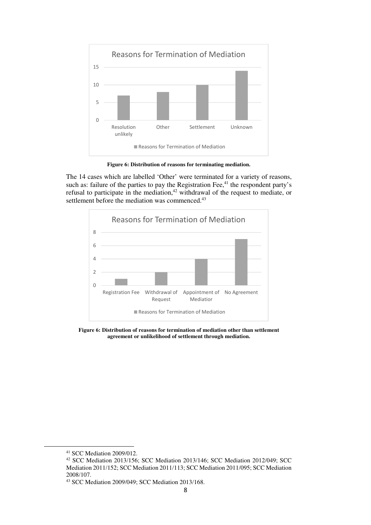

**Figure 6: Distribution of reasons for terminating mediation.** 

The 14 cases which are labelled 'Other' were terminated for a variety of reasons, such as: failure of the parties to pay the Registration Fee, $^{41}$  the respondent party's refusal to participate in the mediation,<sup>42</sup> withdrawal of the request to mediate, or settlement before the mediation was commenced.<sup>43</sup>



**Figure 6: Distribution of reasons for termination of mediation other than settlement agreement or unlikelihood of settlement through mediation.** 

<sup>41</sup> SCC Mediation 2009/012.

<sup>42</sup> SCC Mediation 2013/156; SCC Mediation 2013/146; SCC Mediation 2012/049; SCC Mediation 2011/152; SCC Mediation 2011/113; SCC Mediation 2011/095; SCC Mediation 2008/107.

<sup>43</sup> SCC Mediation 2009/049; SCC Mediation 2013/168.